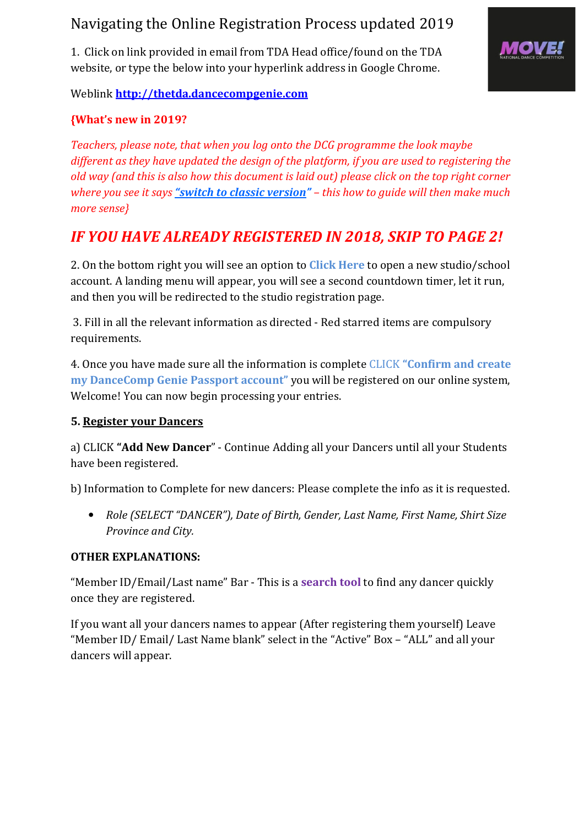# Navigating the Online Registration Process updated 2019

1. Click on link provided in email from TDA Head office/found on the TDA website, or type the below into your hyperlink address in Google Chrome.



Weblink http://thetda.dancecompgenie.com

# {What's new in 2019?

Teachers, please note, that when you log onto the DCG programme the look maybe different as they have updated the design of the platform, if you are used to registering the old way (and this is also how this document is laid out) please click on the top right corner where you see it says "switch to classic version" – this how to guide will then make much more sense}

# IF YOU HAVE ALREADY REGISTERED IN 2018, SKIP TO PAGE 2!

2. On the bottom right you will see an option to Click Here to open a new studio/school account. A landing menu will appear, you will see a second countdown timer, let it run, and then you will be redirected to the studio registration page.

 3. Fill in all the relevant information as directed - Red starred items are compulsory requirements.

4. Once you have made sure all the information is complete CLICK "Confirm and create my DanceComp Genie Passport account" you will be registered on our online system, Welcome! You can now begin processing your entries.

## 5. Register your Dancers

a) CLICK "Add New Dancer" - Continue Adding all your Dancers until all your Students have been registered.

b) Information to Complete for new dancers: Please complete the info as it is requested.

• Role (SELECT "DANCER"), Date of Birth, Gender, Last Name, First Name, Shirt Size Province and City.

## OTHER EXPLANATIONS:

"Member ID/Email/Last name" Bar - This is a **search tool** to find any dancer quickly once they are registered.

If you want all your dancers names to appear (After registering them yourself) Leave "Member ID/ Email/ Last Name blank" select in the "Active" Box – "ALL" and all your dancers will appear.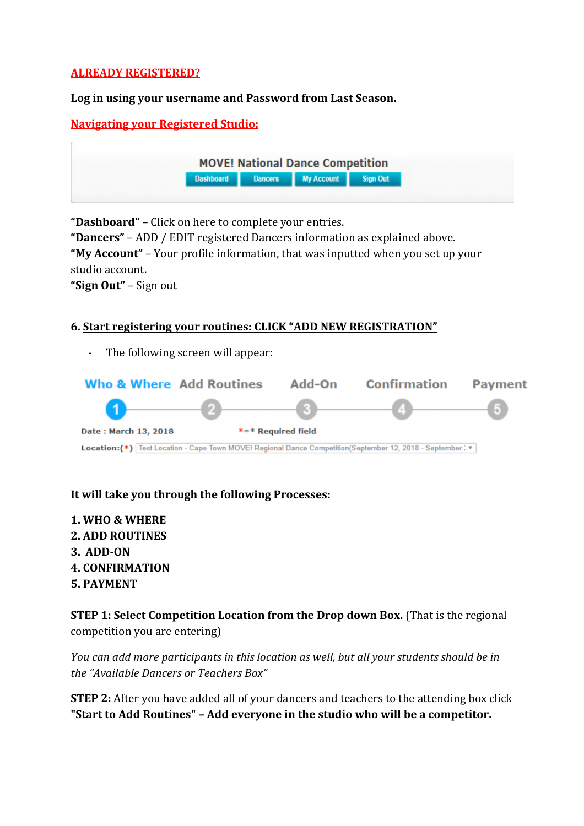## ALREADY REGISTERED?

#### Log in using your username and Password from Last Season.

### Navigating your Registered Studio:

| <b>MOVE! National Dance Competition</b> |  |                                              |  |  |
|-----------------------------------------|--|----------------------------------------------|--|--|
|                                         |  | <b>Dashboard</b> Dancers My Account Sign Out |  |  |
|                                         |  |                                              |  |  |

"Dashboard" – Click on here to complete your entries.

"Dancers" – ADD / EDIT registered Dancers information as explained above.

"My Account" – Your profile information, that was inputted when you set up your studio account.

"Sign Out" – Sign out

### 6. Start registering your routines: CLICK "ADD NEW REGISTRATION"

The following screen will appear:



### It will take you through the following Processes:

1. WHO & WHERE 2. ADD ROUTINES 3. ADD-ON 4. CONFIRMATION 5. PAYMENT

STEP 1: Select Competition Location from the Drop down Box. (That is the regional competition you are entering)

You can add more participants in this location as well, but all your students should be in the "Available Dancers or Teachers Box"

**STEP 2:** After you have added all of your dancers and teachers to the attending box click "Start to Add Routines" – Add everyone in the studio who will be a competitor.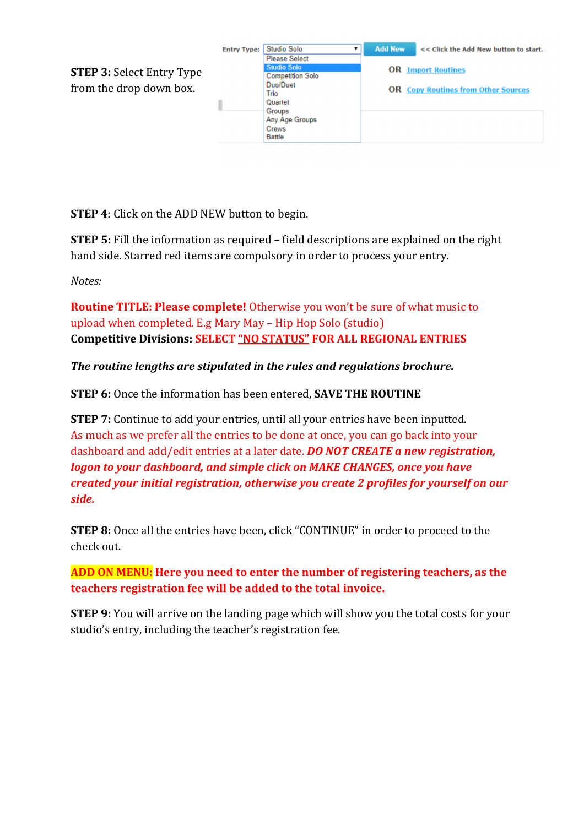

**STEP 4:** Click on the ADD NEW button to begin.

STEP 5: Fill the information as required – field descriptions are explained on the right hand side. Starred red items are compulsory in order to process your entry.

Notes:

Routine TITLE: Please complete! Otherwise you won't be sure of what music to upload when completed. E.g Mary May – Hip Hop Solo (studio) Competitive Divisions: SELECT "NO STATUS" FOR ALL REGIONAL ENTRIES

The routine lengths are stipulated in the rules and regulations brochure.

STEP 6: Once the information has been entered, SAVE THE ROUTINE

**STEP 7:** Continue to add your entries, until all your entries have been inputted. As much as we prefer all the entries to be done at once, you can go back into your dashboard and add/edit entries at a later date. **DO NOT CREATE a new registration**, logon to your dashboard, and simple click on MAKE CHANGES, once you have created your initial registration, otherwise you create 2 profiles for yourself on our side.

STEP 8: Once all the entries have been, click "CONTINUE" in order to proceed to the check out.

ADD ON MENU: Here you need to enter the number of registering teachers, as the teachers registration fee will be added to the total invoice.

**STEP 9:** You will arrive on the landing page which will show you the total costs for your studio's entry, including the teacher's registration fee.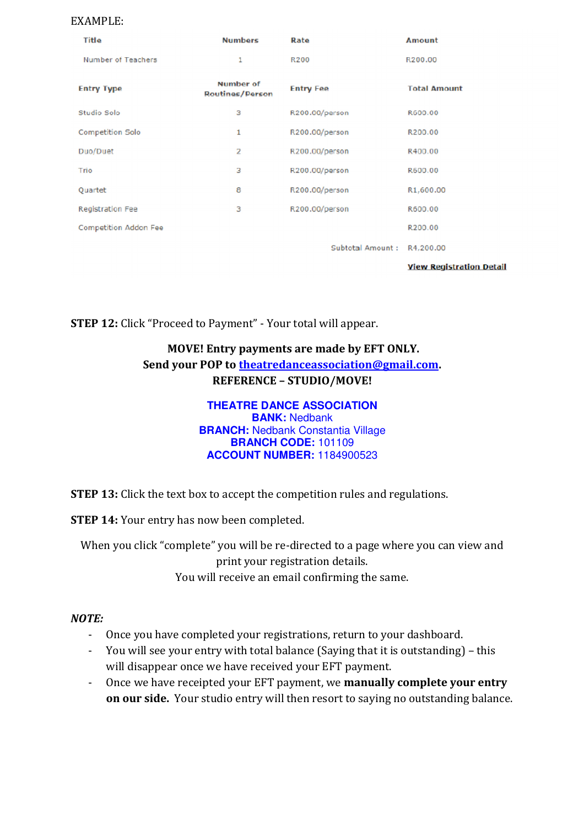#### EXAMPLE:

| Title                 | <b>Numbers</b>               | Rate                    | <b>Amount</b>                   |
|-----------------------|------------------------------|-------------------------|---------------------------------|
| Number of Teachers    | 1                            | <b>R200</b>             | R200.00                         |
| <b>Entry Type</b>     | Number of<br>Routines/Person | <b>Entry Fee</b>        | <b>Total Amount</b>             |
| Studio Solo           | з                            | R200.00/person          | R600.00                         |
| Competition Solo      | 1                            | R200.00/person          | R200.00                         |
| Duo/Duet              | 2                            | R200.00/person          | R400.00                         |
| Trio                  | з                            | R200.00/person          | R600.00                         |
| Quartet               | 8                            | R200.00/person          | R1,600.00                       |
| Registration Fee      | з                            | R200.00/person          | R600.00                         |
| Competition Addon Fee |                              |                         | R200.00                         |
|                       |                              | <b>Subtotal Amount:</b> | R4,200.00                       |
|                       |                              |                         | <b>View Registration Detail</b> |

STEP 12: Click "Proceed to Payment" - Your total will appear.

## MOVE! Entry payments are made by EFT ONLY. Send your POP to theatredanceassociation@gmail.com. REFERENCE – STUDIO/MOVE!

#### **THEATRE DANCE ASSOCIATION BANK:** Nedbank **BRANCH: Nedbank Constantia Village BRANCH CODE:** 101109 **ACCOUNT NUMBER:** 1184900523

**STEP 13:** Click the text box to accept the competition rules and regulations.

**STEP 14:** Your entry has now been completed.

When you click "complete" you will be re-directed to a page where you can view and print your registration details. You will receive an email confirming the same.

### NOTE:

- Once you have completed your registrations, return to your dashboard.
- You will see your entry with total balance (Saying that it is outstanding) this will disappear once we have received your EFT payment.
- Once we have receipted your EFT payment, we **manually complete your entry** on our side. Your studio entry will then resort to saying no outstanding balance.